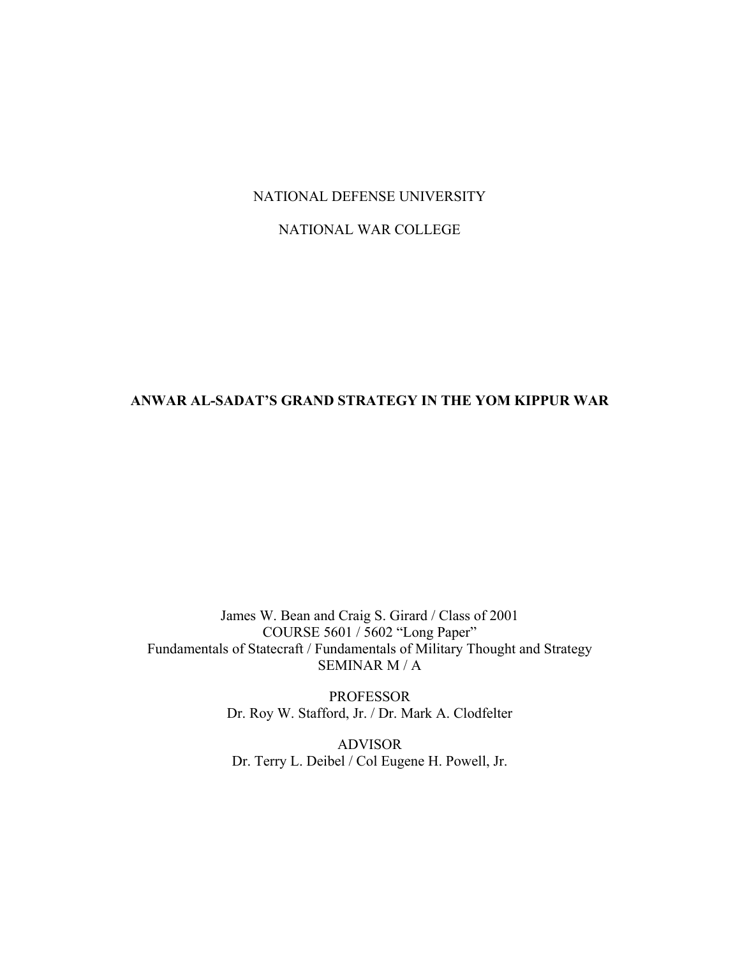## NATIONAL DEFENSE UNIVERSITY

## NATIONAL WAR COLLEGE

# **ANWAR AL-SADAT'S GRAND STRATEGY IN THE YOM KIPPUR WAR**

James W. Bean and Craig S. Girard / Class of 2001 COURSE 5601 / 5602 "Long Paper" Fundamentals of Statecraft / Fundamentals of Military Thought and Strategy SEMINAR M / A

> PROFESSOR Dr. Roy W. Stafford, Jr. / Dr. Mark A. Clodfelter

ADVISOR Dr. Terry L. Deibel / Col Eugene H. Powell, Jr.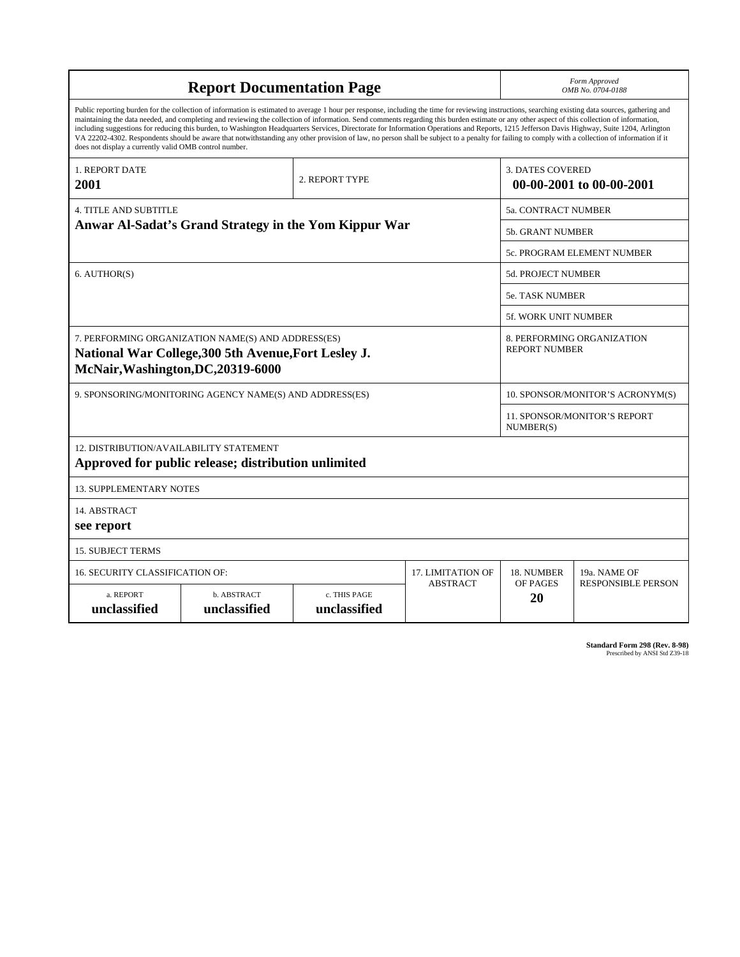| <b>Report Documentation Page</b>                                                                                                                                                                                                                                                                                                                                                                                                                                                                                                                                                                                                                                                                                                                                                                                                                                   |                             |                              |                 |                                                     | Form Approved<br>OMB No. 0704-0188                 |  |  |
|--------------------------------------------------------------------------------------------------------------------------------------------------------------------------------------------------------------------------------------------------------------------------------------------------------------------------------------------------------------------------------------------------------------------------------------------------------------------------------------------------------------------------------------------------------------------------------------------------------------------------------------------------------------------------------------------------------------------------------------------------------------------------------------------------------------------------------------------------------------------|-----------------------------|------------------------------|-----------------|-----------------------------------------------------|----------------------------------------------------|--|--|
| Public reporting burden for the collection of information is estimated to average 1 hour per response, including the time for reviewing instructions, searching existing data sources, gathering and<br>maintaining the data needed, and completing and reviewing the collection of information. Send comments regarding this burden estimate or any other aspect of this collection of information,<br>including suggestions for reducing this burden, to Washington Headquarters Services, Directorate for Information Operations and Reports, 1215 Jefferson Davis Highway, Suite 1204, Arlington<br>VA 22202-4302. Respondents should be aware that notwithstanding any other provision of law, no person shall be subject to a penalty for failing to comply with a collection of information if it<br>does not display a currently valid OMB control number. |                             |                              |                 |                                                     |                                                    |  |  |
| 1. REPORT DATE<br>2001                                                                                                                                                                                                                                                                                                                                                                                                                                                                                                                                                                                                                                                                                                                                                                                                                                             |                             | 2. REPORT TYPE               |                 | <b>3. DATES COVERED</b><br>00-00-2001 to 00-00-2001 |                                                    |  |  |
| <b>4. TITLE AND SUBTITLE</b>                                                                                                                                                                                                                                                                                                                                                                                                                                                                                                                                                                                                                                                                                                                                                                                                                                       |                             |                              |                 | 5a. CONTRACT NUMBER                                 |                                                    |  |  |
| Anwar Al-Sadat's Grand Strategy in the Yom Kippur War                                                                                                                                                                                                                                                                                                                                                                                                                                                                                                                                                                                                                                                                                                                                                                                                              |                             |                              |                 |                                                     | <b>5b. GRANT NUMBER</b>                            |  |  |
|                                                                                                                                                                                                                                                                                                                                                                                                                                                                                                                                                                                                                                                                                                                                                                                                                                                                    |                             |                              |                 |                                                     | 5c. PROGRAM ELEMENT NUMBER                         |  |  |
| 6. AUTHOR(S)                                                                                                                                                                                                                                                                                                                                                                                                                                                                                                                                                                                                                                                                                                                                                                                                                                                       |                             |                              |                 |                                                     | 5d. PROJECT NUMBER                                 |  |  |
|                                                                                                                                                                                                                                                                                                                                                                                                                                                                                                                                                                                                                                                                                                                                                                                                                                                                    |                             |                              |                 |                                                     | <b>5e. TASK NUMBER</b>                             |  |  |
|                                                                                                                                                                                                                                                                                                                                                                                                                                                                                                                                                                                                                                                                                                                                                                                                                                                                    |                             |                              |                 |                                                     | <b>5f. WORK UNIT NUMBER</b>                        |  |  |
| 7. PERFORMING ORGANIZATION NAME(S) AND ADDRESS(ES)<br>National War College, 300 5th Avenue, Fort Lesley J.<br>McNair, Washington, DC, 20319-6000                                                                                                                                                                                                                                                                                                                                                                                                                                                                                                                                                                                                                                                                                                                   |                             |                              |                 |                                                     | 8. PERFORMING ORGANIZATION<br><b>REPORT NUMBER</b> |  |  |
| 9. SPONSORING/MONITORING AGENCY NAME(S) AND ADDRESS(ES)                                                                                                                                                                                                                                                                                                                                                                                                                                                                                                                                                                                                                                                                                                                                                                                                            |                             |                              |                 |                                                     | 10. SPONSOR/MONITOR'S ACRONYM(S)                   |  |  |
|                                                                                                                                                                                                                                                                                                                                                                                                                                                                                                                                                                                                                                                                                                                                                                                                                                                                    |                             |                              |                 |                                                     | 11. SPONSOR/MONITOR'S REPORT<br>NUMBER(S)          |  |  |
| 12. DISTRIBUTION/AVAILABILITY STATEMENT<br>Approved for public release; distribution unlimited                                                                                                                                                                                                                                                                                                                                                                                                                                                                                                                                                                                                                                                                                                                                                                     |                             |                              |                 |                                                     |                                                    |  |  |
| <b>13. SUPPLEMENTARY NOTES</b>                                                                                                                                                                                                                                                                                                                                                                                                                                                                                                                                                                                                                                                                                                                                                                                                                                     |                             |                              |                 |                                                     |                                                    |  |  |
| 14. ABSTRACT<br>see report                                                                                                                                                                                                                                                                                                                                                                                                                                                                                                                                                                                                                                                                                                                                                                                                                                         |                             |                              |                 |                                                     |                                                    |  |  |
| <b>15. SUBJECT TERMS</b>                                                                                                                                                                                                                                                                                                                                                                                                                                                                                                                                                                                                                                                                                                                                                                                                                                           |                             |                              |                 |                                                     |                                                    |  |  |
| <b>16. SECURITY CLASSIFICATION OF:</b>                                                                                                                                                                                                                                                                                                                                                                                                                                                                                                                                                                                                                                                                                                                                                                                                                             | 17. LIMITATION OF           | 18. NUMBER                   | 19a. NAME OF    |                                                     |                                                    |  |  |
| a. REPORT<br>unclassified                                                                                                                                                                                                                                                                                                                                                                                                                                                                                                                                                                                                                                                                                                                                                                                                                                          | b. ABSTRACT<br>unclassified | c. THIS PAGE<br>unclassified | <b>ABSTRACT</b> | OF PAGES<br>20                                      | <b>RESPONSIBLE PERSON</b>                          |  |  |

| <b>Standard Form 298 (Rev. 8-98)</b> |                               |  |  |
|--------------------------------------|-------------------------------|--|--|
|                                      | Prescribed by ANSI Std Z39-18 |  |  |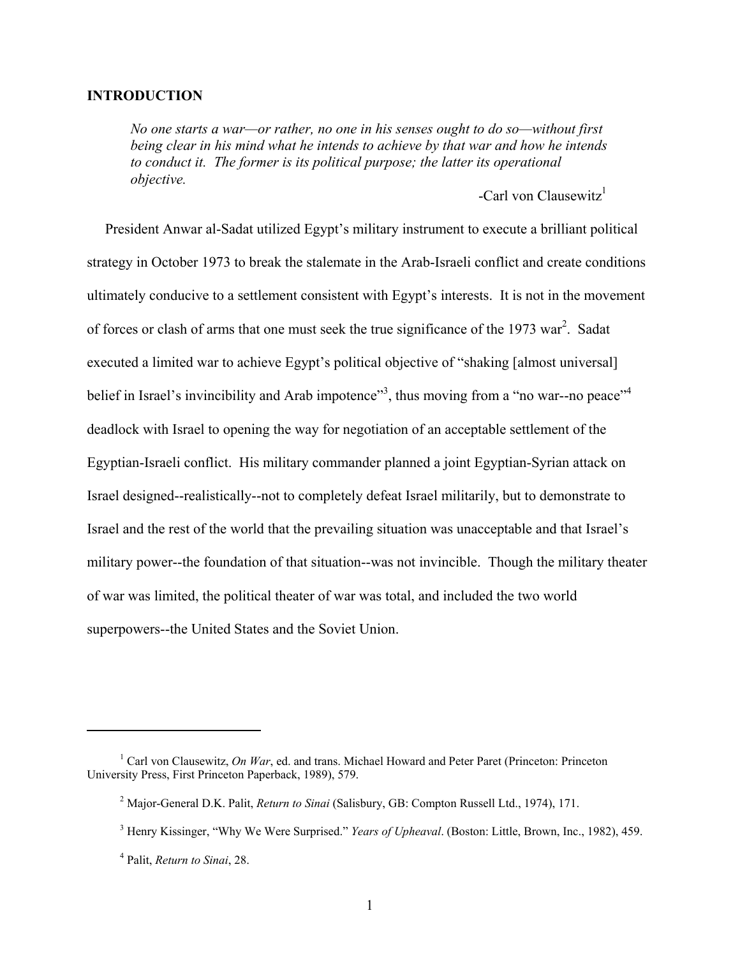#### **INTRODUCTION**

*No one starts a war—or rather, no one in his senses ought to do so—without first being clear in his mind what he intends to achieve by that war and how he intends to conduct it. The former is its political purpose; the latter its operational objective.* 

-Carl von Clausewitz<sup>1</sup>

 President Anwar al-Sadat utilized Egypt's military instrument to execute a brilliant political strategy in October 1973 to break the stalemate in the Arab-Israeli conflict and create conditions ultimately conducive to a settlement consistent with Egypt's interests. It is not in the movement of forces or clash of arms that one must seek the true significance of the 1973 war<sup>2</sup>. Sadat executed a limited war to achieve Egypt's political objective of "shaking [almost universal] belief in Israel's invincibility and Arab impotence"<sup>3</sup>, thus moving from a "no war--no peace"<sup>[4](#page-2-3)</sup> deadlock with Israel to opening the way for negotiation of an acceptable settlement of the Egyptian-Israeli conflict. His military commander planned a joint Egyptian-Syrian attack on Israel designed--realistically--not to completely defeat Israel militarily, but to demonstrate to Israel and the rest of the world that the prevailing situation was unacceptable and that Israel's military power--the foundation of that situation--was not invincible. Though the military theater of war was limited, the political theater of war was total, and included the two world superpowers--the United States and the Soviet Union.

<span id="page-2-0"></span><sup>&</sup>lt;sup>1</sup> Carl von Clausewitz, *On War*, ed. and trans. Michael Howard and Peter Paret (Princeton: Princeton University Press, First Princeton Paperback, 1989), 579.

<span id="page-2-1"></span><sup>2</sup> Major-General D.K. Palit, *Return to Sinai* (Salisbury, GB: Compton Russell Ltd., 1974), 171.

<span id="page-2-2"></span><sup>3</sup> Henry Kissinger, "Why We Were Surprised." *Years of Upheaval*. (Boston: Little, Brown, Inc., 1982), 459.

<span id="page-2-3"></span><sup>4</sup> Palit, *Return to Sinai*, 28.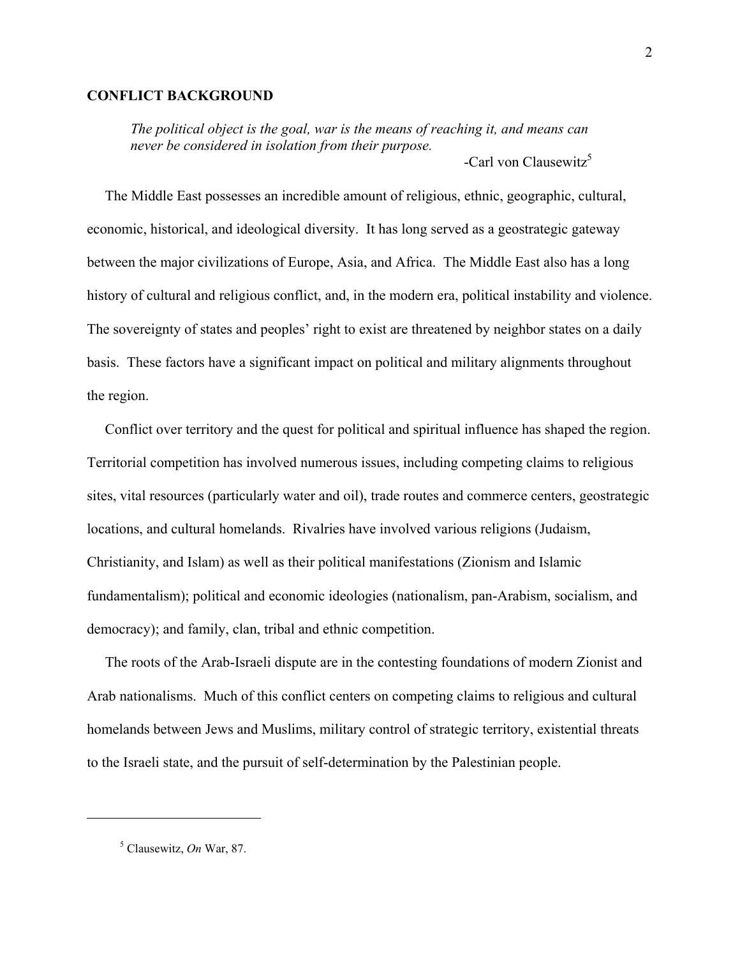#### **CONFLICT BACKGROUND**

*The political object is the goal, war is the means of reaching it, and means can never be considered in isolation from their purpose.*   $\text{Carl von Clausewitz}^5$ 

 The Middle East possesses an incredible amount of religious, ethnic, geographic, cultural, economic, historical, and ideological diversity. It has long served as a geostrategic gateway between the major civilizations of Europe, Asia, and Africa. The Middle East also has a long history of cultural and religious conflict, and, in the modern era, political instability and violence. The sovereignty of states and peoples' right to exist are threatened by neighbor states on a daily basis. These factors have a significant impact on political and military alignments throughout the region.

 Conflict over territory and the quest for political and spiritual influence has shaped the region. Territorial competition has involved numerous issues, including competing claims to religious sites, vital resources (particularly water and oil), trade routes and commerce centers, geostrategic locations, and cultural homelands. Rivalries have involved various religions (Judaism, Christianity, and Islam) as well as their political manifestations (Zionism and Islamic fundamentalism); political and economic ideologies (nationalism, pan-Arabism, socialism, and democracy); and family, clan, tribal and ethnic competition.

 The roots of the Arab-Israeli dispute are in the contesting foundations of modern Zionist and Arab nationalisms. Much of this conflict centers on competing claims to religious and cultural homelands between Jews and Muslims, military control of strategic territory, existential threats to the Israeli state, and the pursuit of self-determination by the Palestinian people.

<span id="page-3-0"></span><sup>5</sup> Clausewitz, *On* War, 87.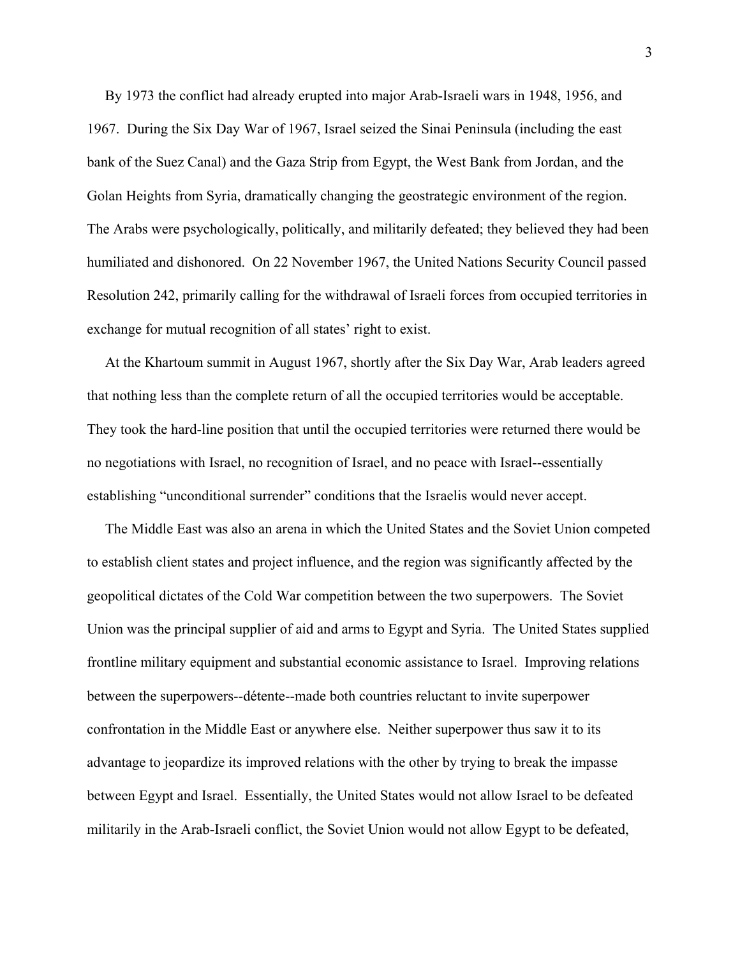By 1973 the conflict had already erupted into major Arab-Israeli wars in 1948, 1956, and 1967. During the Six Day War of 1967, Israel seized the Sinai Peninsula (including the east bank of the Suez Canal) and the Gaza Strip from Egypt, the West Bank from Jordan, and the Golan Heights from Syria, dramatically changing the geostrategic environment of the region. The Arabs were psychologically, politically, and militarily defeated; they believed they had been humiliated and dishonored. On 22 November 1967, the United Nations Security Council passed Resolution 242, primarily calling for the withdrawal of Israeli forces from occupied territories in exchange for mutual recognition of all states' right to exist.

 At the Khartoum summit in August 1967, shortly after the Six Day War, Arab leaders agreed that nothing less than the complete return of all the occupied territories would be acceptable. They took the hard-line position that until the occupied territories were returned there would be no negotiations with Israel, no recognition of Israel, and no peace with Israel--essentially establishing "unconditional surrender" conditions that the Israelis would never accept.

 The Middle East was also an arena in which the United States and the Soviet Union competed to establish client states and project influence, and the region was significantly affected by the geopolitical dictates of the Cold War competition between the two superpowers. The Soviet Union was the principal supplier of aid and arms to Egypt and Syria. The United States supplied frontline military equipment and substantial economic assistance to Israel. Improving relations between the superpowers--détente--made both countries reluctant to invite superpower confrontation in the Middle East or anywhere else. Neither superpower thus saw it to its advantage to jeopardize its improved relations with the other by trying to break the impasse between Egypt and Israel. Essentially, the United States would not allow Israel to be defeated militarily in the Arab-Israeli conflict, the Soviet Union would not allow Egypt to be defeated,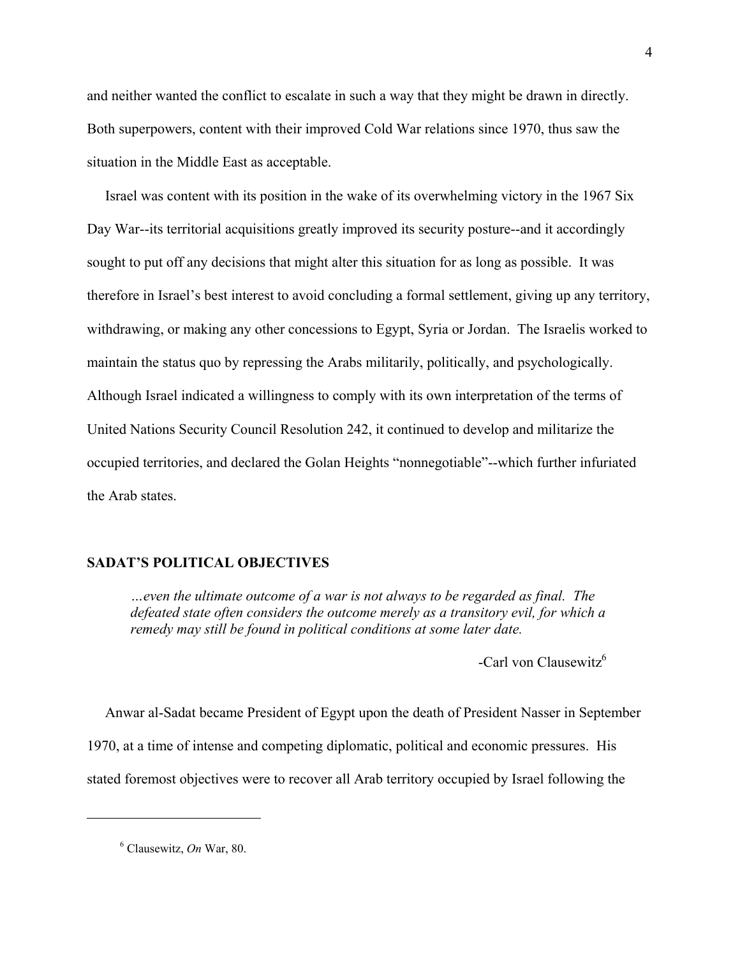and neither wanted the conflict to escalate in such a way that they might be drawn in directly. Both superpowers, content with their improved Cold War relations since 1970, thus saw the situation in the Middle East as acceptable.

 Israel was content with its position in the wake of its overwhelming victory in the 1967 Six Day War--its territorial acquisitions greatly improved its security posture--and it accordingly sought to put off any decisions that might alter this situation for as long as possible. It was therefore in Israel's best interest to avoid concluding a formal settlement, giving up any territory, withdrawing, or making any other concessions to Egypt, Syria or Jordan. The Israelis worked to maintain the status quo by repressing the Arabs militarily, politically, and psychologically. Although Israel indicated a willingness to comply with its own interpretation of the terms of United Nations Security Council Resolution 242, it continued to develop and militarize the occupied territories, and declared the Golan Heights "nonnegotiable"--which further infuriated the Arab states.

### **SADAT'S POLITICAL OBJECTIVES**

*…even the ultimate outcome of a war is not always to be regarded as final. The defeated state often considers the outcome merely as a transitory evil, for which a remedy may still be found in political conditions at some later date.* 

-Carl von Clausewitz<sup>6</sup>

 Anwar al-Sadat became President of Egypt upon the death of President Nasser in September 1970, at a time of intense and competing diplomatic, political and economic pressures. His stated foremost objectives were to recover all Arab territory occupied by Israel following the

<span id="page-5-0"></span><sup>6</sup> Clausewitz, *On* War, 80.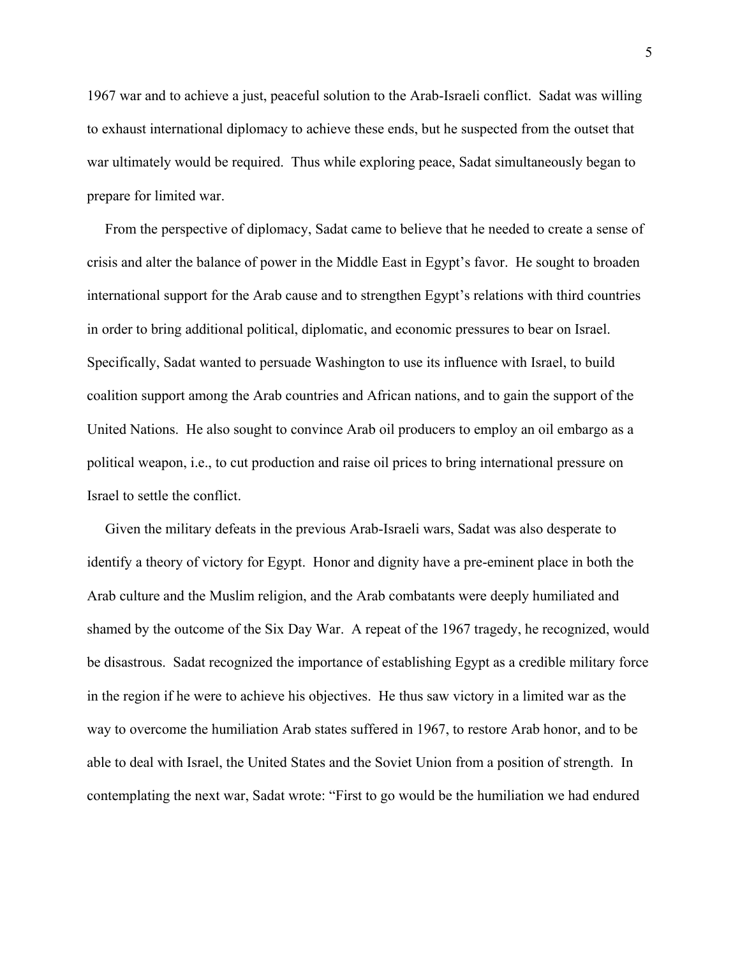1967 war and to achieve a just, peaceful solution to the Arab-Israeli conflict. Sadat was willing to exhaust international diplomacy to achieve these ends, but he suspected from the outset that war ultimately would be required. Thus while exploring peace, Sadat simultaneously began to prepare for limited war.

 From the perspective of diplomacy, Sadat came to believe that he needed to create a sense of crisis and alter the balance of power in the Middle East in Egypt's favor. He sought to broaden international support for the Arab cause and to strengthen Egypt's relations with third countries in order to bring additional political, diplomatic, and economic pressures to bear on Israel. Specifically, Sadat wanted to persuade Washington to use its influence with Israel, to build coalition support among the Arab countries and African nations, and to gain the support of the United Nations. He also sought to convince Arab oil producers to employ an oil embargo as a political weapon, i.e., to cut production and raise oil prices to bring international pressure on Israel to settle the conflict.

 Given the military defeats in the previous Arab-Israeli wars, Sadat was also desperate to identify a theory of victory for Egypt. Honor and dignity have a pre-eminent place in both the Arab culture and the Muslim religion, and the Arab combatants were deeply humiliated and shamed by the outcome of the Six Day War. A repeat of the 1967 tragedy, he recognized, would be disastrous. Sadat recognized the importance of establishing Egypt as a credible military force in the region if he were to achieve his objectives. He thus saw victory in a limited war as the way to overcome the humiliation Arab states suffered in 1967, to restore Arab honor, and to be able to deal with Israel, the United States and the Soviet Union from a position of strength. In contemplating the next war, Sadat wrote: "First to go would be the humiliation we had endured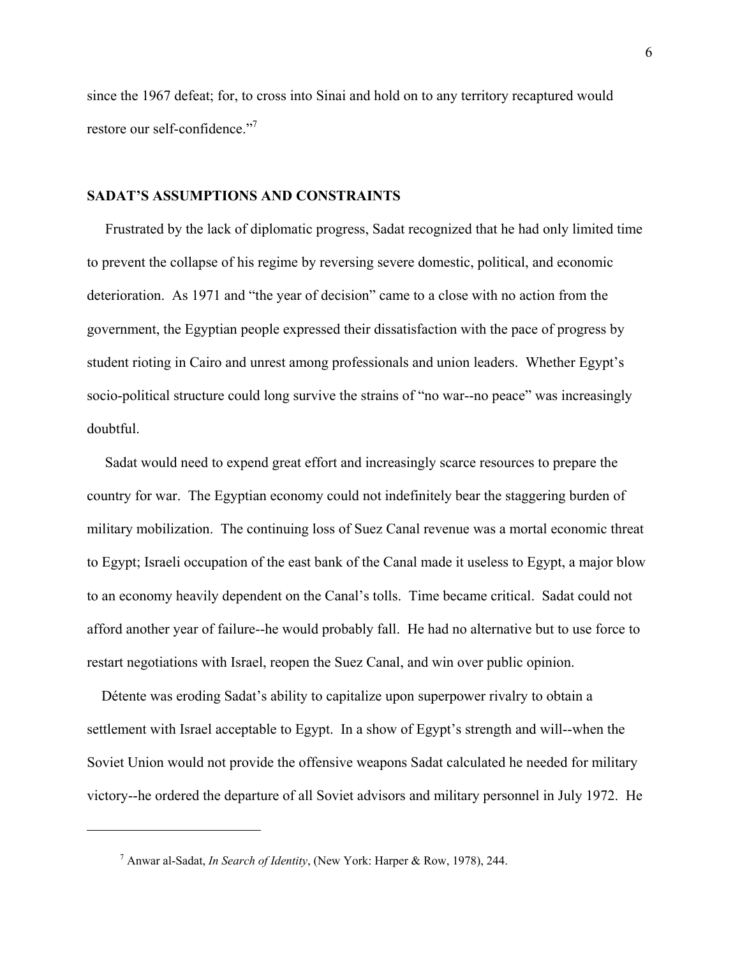since the 1967 defeat; for, to cross into Sinai and hold on to any territory recaptured would restore our self-confidence."

### **SADAT'S ASSUMPTIONS AND CONSTRAINTS**

 Frustrated by the lack of diplomatic progress, Sadat recognized that he had only limited time to prevent the collapse of his regime by reversing severe domestic, political, and economic deterioration. As 1971 and "the year of decision" came to a close with no action from the government, the Egyptian people expressed their dissatisfaction with the pace of progress by student rioting in Cairo and unrest among professionals and union leaders. Whether Egypt's socio-political structure could long survive the strains of "no war--no peace" was increasingly doubtful.

 Sadat would need to expend great effort and increasingly scarce resources to prepare the country for war. The Egyptian economy could not indefinitely bear the staggering burden of military mobilization. The continuing loss of Suez Canal revenue was a mortal economic threat to Egypt; Israeli occupation of the east bank of the Canal made it useless to Egypt, a major blow to an economy heavily dependent on the Canal's tolls. Time became critical. Sadat could not afford another year of failure--he would probably fall. He had no alternative but to use force to restart negotiations with Israel, reopen the Suez Canal, and win over public opinion.

 Détente was eroding Sadat's ability to capitalize upon superpower rivalry to obtain a settlement with Israel acceptable to Egypt. In a show of Egypt's strength and will--when the Soviet Union would not provide the offensive weapons Sadat calculated he needed for military victory--he ordered the departure of all Soviet advisors and military personnel in July 1972. He

 $\overline{a}$ 

<span id="page-7-0"></span><sup>7</sup> Anwar al-Sadat, *In Search of Identity*, (New York: Harper & Row, 1978), 244.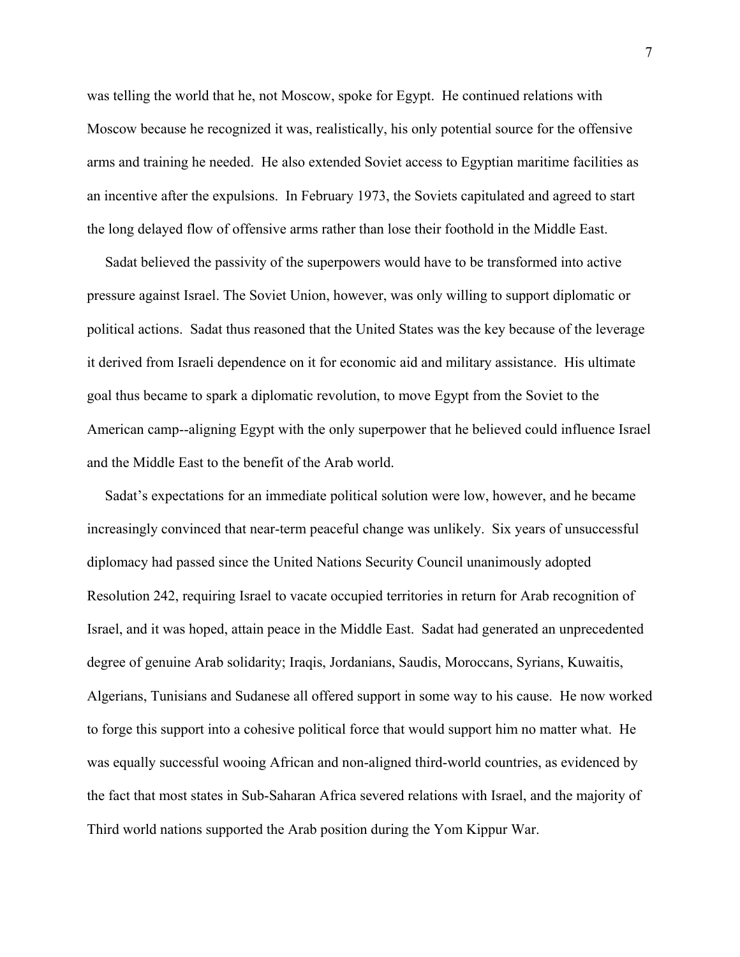was telling the world that he, not Moscow, spoke for Egypt. He continued relations with Moscow because he recognized it was, realistically, his only potential source for the offensive arms and training he needed. He also extended Soviet access to Egyptian maritime facilities as an incentive after the expulsions. In February 1973, the Soviets capitulated and agreed to start the long delayed flow of offensive arms rather than lose their foothold in the Middle East.

 Sadat believed the passivity of the superpowers would have to be transformed into active pressure against Israel. The Soviet Union, however, was only willing to support diplomatic or political actions. Sadat thus reasoned that the United States was the key because of the leverage it derived from Israeli dependence on it for economic aid and military assistance. His ultimate goal thus became to spark a diplomatic revolution, to move Egypt from the Soviet to the American camp--aligning Egypt with the only superpower that he believed could influence Israel and the Middle East to the benefit of the Arab world.

 Sadat's expectations for an immediate political solution were low, however, and he became increasingly convinced that near-term peaceful change was unlikely. Six years of unsuccessful diplomacy had passed since the United Nations Security Council unanimously adopted Resolution 242, requiring Israel to vacate occupied territories in return for Arab recognition of Israel, and it was hoped, attain peace in the Middle East. Sadat had generated an unprecedented degree of genuine Arab solidarity; Iraqis, Jordanians, Saudis, Moroccans, Syrians, Kuwaitis, Algerians, Tunisians and Sudanese all offered support in some way to his cause. He now worked to forge this support into a cohesive political force that would support him no matter what. He was equally successful wooing African and non-aligned third-world countries, as evidenced by the fact that most states in Sub-Saharan Africa severed relations with Israel, and the majority of Third world nations supported the Arab position during the Yom Kippur War.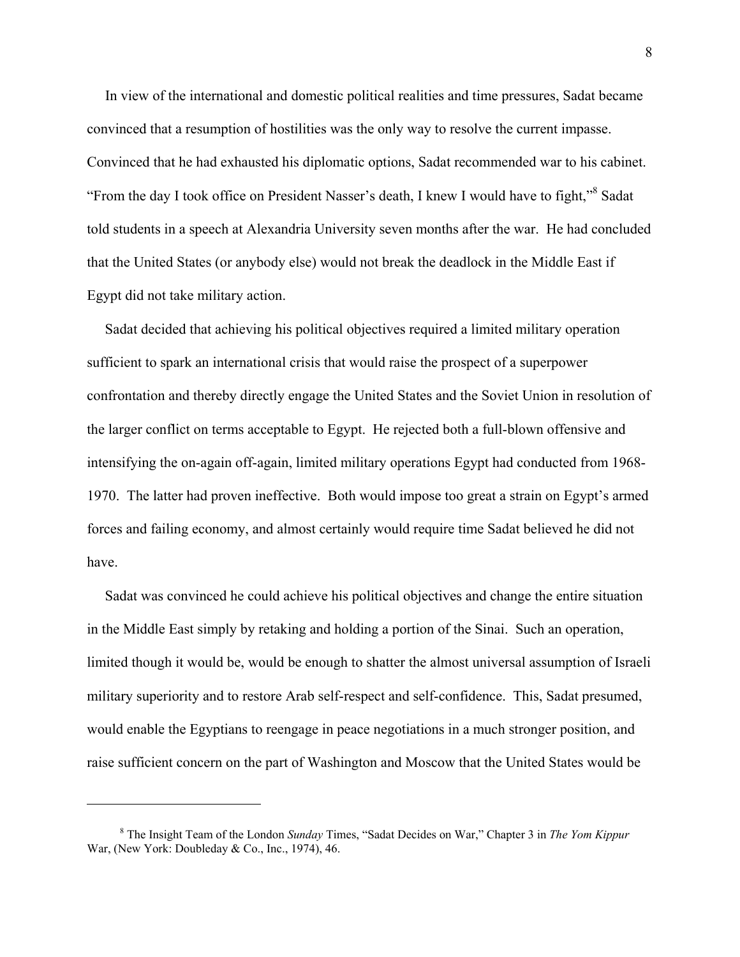In view of the international and domestic political realities and time pressures, Sadat became convinced that a resumption of hostilities was the only way to resolve the current impasse. Convinced that he had exhausted his diplomatic options, Sadat recommended war to his cabinet. "From the day I took office on President Nasser's death, I knew I would have to fight,"<sup>8</sup> Sadat told students in a speech at Alexandria University seven months after the war. He had concluded that the United States (or anybody else) would not break the deadlock in the Middle East if Egypt did not take military action.

 Sadat decided that achieving his political objectives required a limited military operation sufficient to spark an international crisis that would raise the prospect of a superpower confrontation and thereby directly engage the United States and the Soviet Union in resolution of the larger conflict on terms acceptable to Egypt. He rejected both a full-blown offensive and intensifying the on-again off-again, limited military operations Egypt had conducted from 1968- 1970. The latter had proven ineffective. Both would impose too great a strain on Egypt's armed forces and failing economy, and almost certainly would require time Sadat believed he did not have.

 Sadat was convinced he could achieve his political objectives and change the entire situation in the Middle East simply by retaking and holding a portion of the Sinai. Such an operation, limited though it would be, would be enough to shatter the almost universal assumption of Israeli military superiority and to restore Arab self-respect and self-confidence. This, Sadat presumed, would enable the Egyptians to reengage in peace negotiations in a much stronger position, and raise sufficient concern on the part of Washington and Moscow that the United States would be

<span id="page-9-0"></span><sup>8</sup> The Insight Team of the London *Sunday* Times, "Sadat Decides on War," Chapter 3 in *The Yom Kippur*  War, (New York: Doubleday & Co., Inc., 1974), 46.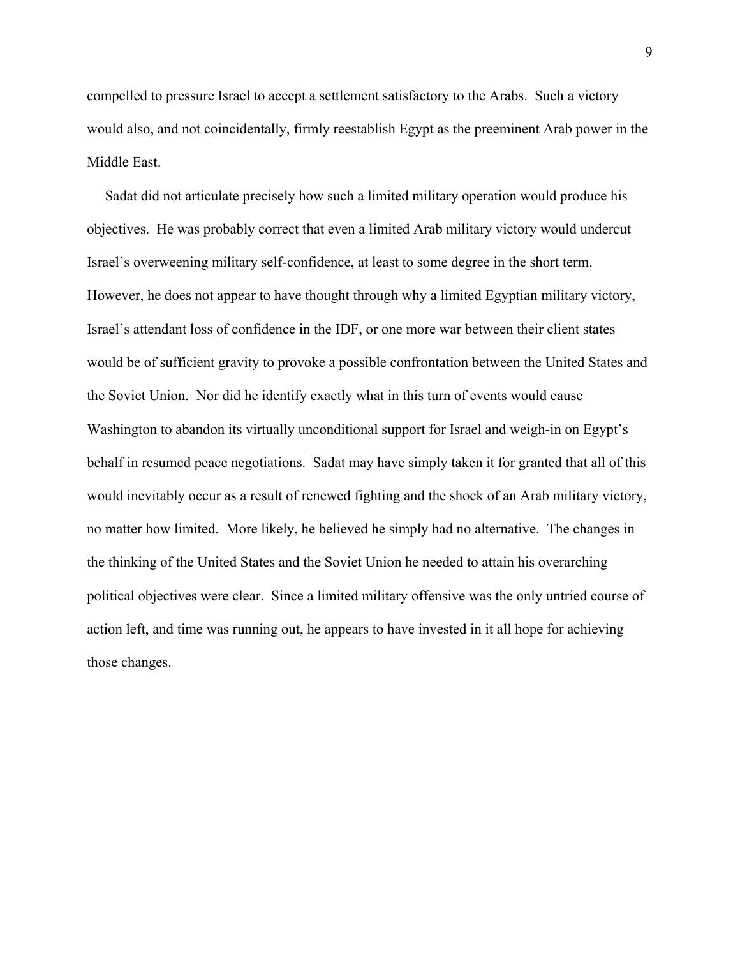compelled to pressure Israel to accept a settlement satisfactory to the Arabs. Such a victory would also, and not coincidentally, firmly reestablish Egypt as the preeminent Arab power in the Middle East.

 Sadat did not articulate precisely how such a limited military operation would produce his objectives. He was probably correct that even a limited Arab military victory would undercut Israel's overweening military self-confidence, at least to some degree in the short term. However, he does not appear to have thought through why a limited Egyptian military victory, Israel's attendant loss of confidence in the IDF, or one more war between their client states would be of sufficient gravity to provoke a possible confrontation between the United States and the Soviet Union. Nor did he identify exactly what in this turn of events would cause Washington to abandon its virtually unconditional support for Israel and weigh-in on Egypt's behalf in resumed peace negotiations. Sadat may have simply taken it for granted that all of this would inevitably occur as a result of renewed fighting and the shock of an Arab military victory, no matter how limited. More likely, he believed he simply had no alternative. The changes in the thinking of the United States and the Soviet Union he needed to attain his overarching political objectives were clear. Since a limited military offensive was the only untried course of action left, and time was running out, he appears to have invested in it all hope for achieving those changes.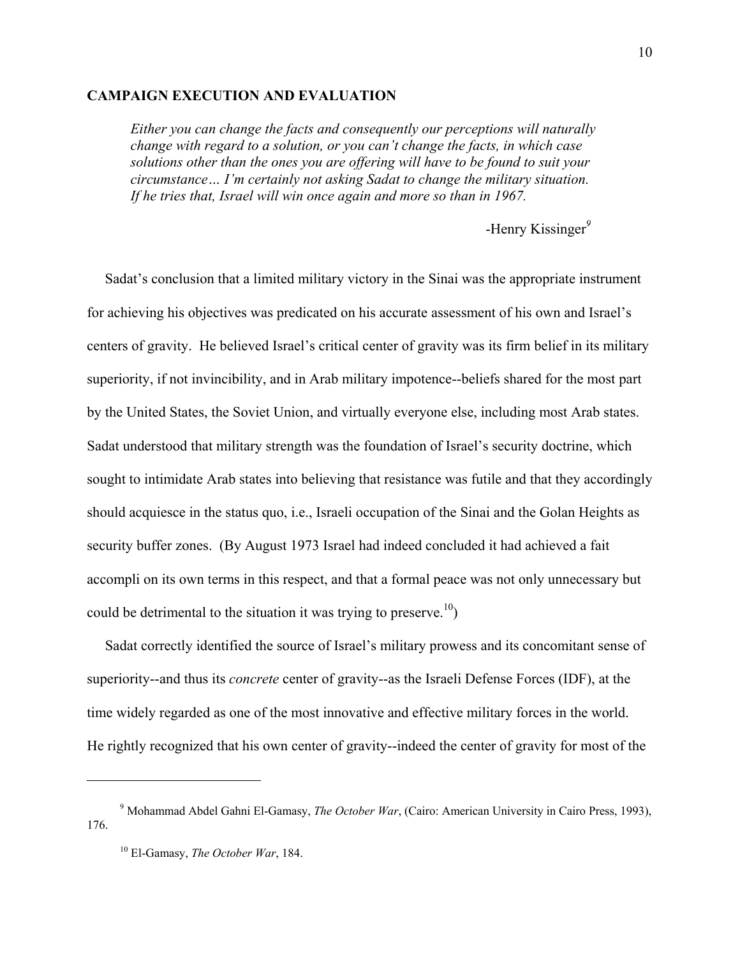#### **CAMPAIGN EXECUTION AND EVALUATION**

*Either you can change the facts and consequently our perceptions will naturally change with regard to a solution, or you can't change the facts, in which case solutions other than the ones you are offering will have to be found to suit your circumstance… I'm certainly not asking Sadat to change the military situation. If he tries that, Israel will win once again and more so than in 1967.* 

-Henry Kissinger<sup>[9](#page-11-0)</sup>

 Sadat's conclusion that a limited military victory in the Sinai was the appropriate instrument for achieving his objectives was predicated on his accurate assessment of his own and Israel's centers of gravity. He believed Israel's critical center of gravity was its firm belief in its military superiority, if not invincibility, and in Arab military impotence--beliefs shared for the most part by the United States, the Soviet Union, and virtually everyone else, including most Arab states. Sadat understood that military strength was the foundation of Israel's security doctrine, which sought to intimidate Arab states into believing that resistance was futile and that they accordingly should acquiesce in the status quo, i.e., Israeli occupation of the Sinai and the Golan Heights as security buffer zones. (By August 1973 Israel had indeed concluded it had achieved a fait accompli on its own terms in this respect, and that a formal peace was not only unnecessary but could be detrimental to the situation it was trying to preserve.<sup>10</sup>)

 Sadat correctly identified the source of Israel's military prowess and its concomitant sense of superiority--and thus its *concrete* center of gravity--as the Israeli Defense Forces (IDF), at the time widely regarded as one of the most innovative and effective military forces in the world. He rightly recognized that his own center of gravity--indeed the center of gravity for most of the

 $\overline{a}$ 

<span id="page-11-0"></span><sup>9</sup> Mohammad Abdel Gahni El-Gamasy, *The October War*, (Cairo: American University in Cairo Press, 1993), 176.

<span id="page-11-1"></span><sup>10</sup> El-Gamasy, *The October War*, 184.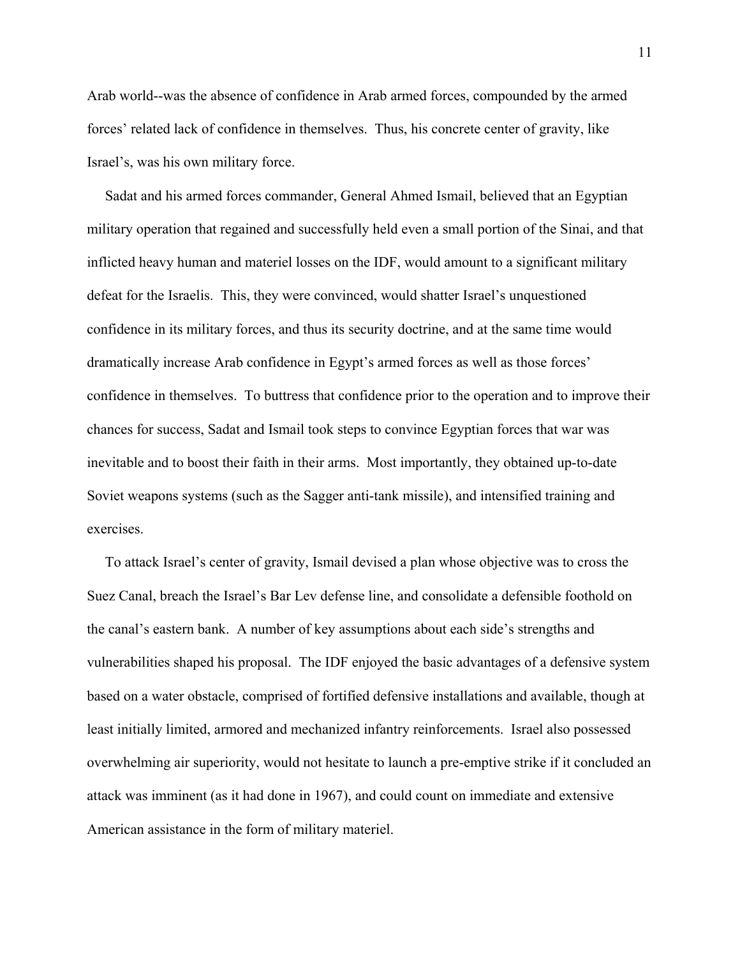Arab world--was the absence of confidence in Arab armed forces, compounded by the armed forces' related lack of confidence in themselves. Thus, his concrete center of gravity, like Israel's, was his own military force.

 Sadat and his armed forces commander, General Ahmed Ismail, believed that an Egyptian military operation that regained and successfully held even a small portion of the Sinai, and that inflicted heavy human and materiel losses on the IDF, would amount to a significant military defeat for the Israelis. This, they were convinced, would shatter Israel's unquestioned confidence in its military forces, and thus its security doctrine, and at the same time would dramatically increase Arab confidence in Egypt's armed forces as well as those forces' confidence in themselves. To buttress that confidence prior to the operation and to improve their chances for success, Sadat and Ismail took steps to convince Egyptian forces that war was inevitable and to boost their faith in their arms. Most importantly, they obtained up-to-date Soviet weapons systems (such as the Sagger anti-tank missile), and intensified training and exercises.

 To attack Israel's center of gravity, Ismail devised a plan whose objective was to cross the Suez Canal, breach the Israel's Bar Lev defense line, and consolidate a defensible foothold on the canal's eastern bank. A number of key assumptions about each side's strengths and vulnerabilities shaped his proposal. The IDF enjoyed the basic advantages of a defensive system based on a water obstacle, comprised of fortified defensive installations and available, though at least initially limited, armored and mechanized infantry reinforcements. Israel also possessed overwhelming air superiority, would not hesitate to launch a pre-emptive strike if it concluded an attack was imminent (as it had done in 1967), and could count on immediate and extensive American assistance in the form of military materiel.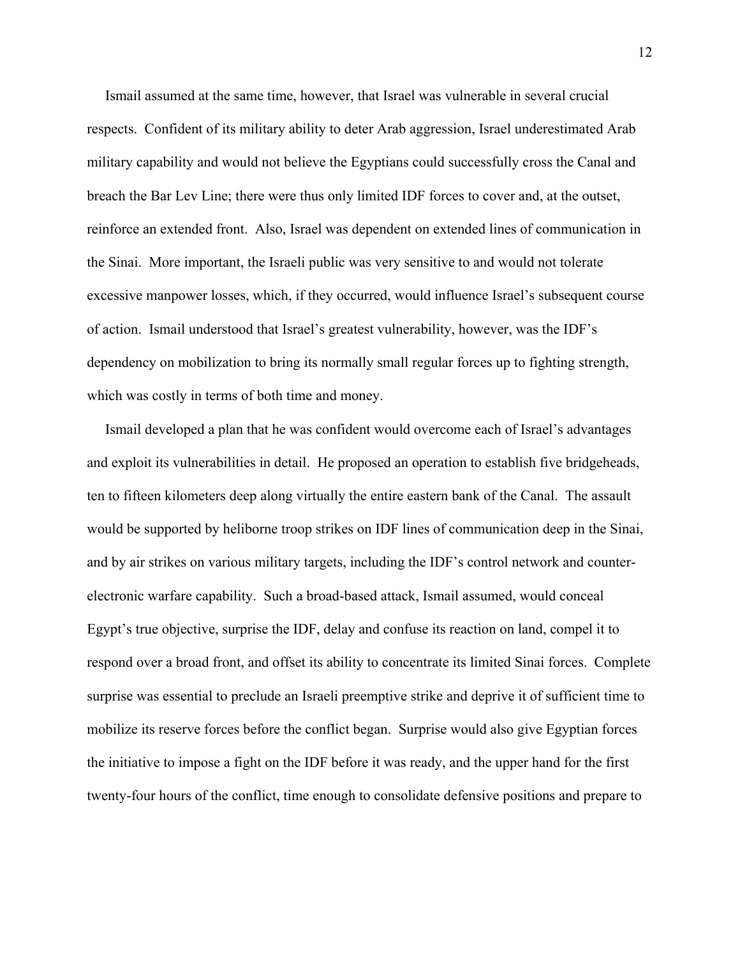Ismail assumed at the same time, however, that Israel was vulnerable in several crucial respects. Confident of its military ability to deter Arab aggression, Israel underestimated Arab military capability and would not believe the Egyptians could successfully cross the Canal and breach the Bar Lev Line; there were thus only limited IDF forces to cover and, at the outset, reinforce an extended front. Also, Israel was dependent on extended lines of communication in the Sinai. More important, the Israeli public was very sensitive to and would not tolerate excessive manpower losses, which, if they occurred, would influence Israel's subsequent course of action. Ismail understood that Israel's greatest vulnerability, however, was the IDF's dependency on mobilization to bring its normally small regular forces up to fighting strength, which was costly in terms of both time and money.

 Ismail developed a plan that he was confident would overcome each of Israel's advantages and exploit its vulnerabilities in detail. He proposed an operation to establish five bridgeheads, ten to fifteen kilometers deep along virtually the entire eastern bank of the Canal. The assault would be supported by heliborne troop strikes on IDF lines of communication deep in the Sinai, and by air strikes on various military targets, including the IDF's control network and counterelectronic warfare capability. Such a broad-based attack, Ismail assumed, would conceal Egypt's true objective, surprise the IDF, delay and confuse its reaction on land, compel it to respond over a broad front, and offset its ability to concentrate its limited Sinai forces. Complete surprise was essential to preclude an Israeli preemptive strike and deprive it of sufficient time to mobilize its reserve forces before the conflict began. Surprise would also give Egyptian forces the initiative to impose a fight on the IDF before it was ready, and the upper hand for the first twenty-four hours of the conflict, time enough to consolidate defensive positions and prepare to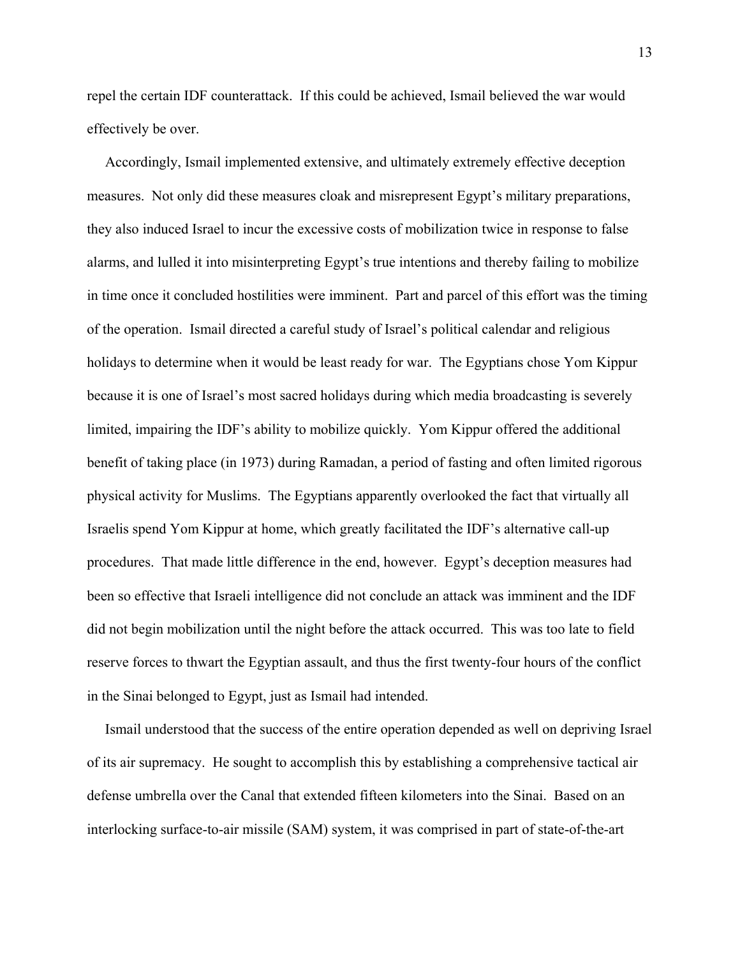repel the certain IDF counterattack. If this could be achieved, Ismail believed the war would effectively be over.

 Accordingly, Ismail implemented extensive, and ultimately extremely effective deception measures. Not only did these measures cloak and misrepresent Egypt's military preparations, they also induced Israel to incur the excessive costs of mobilization twice in response to false alarms, and lulled it into misinterpreting Egypt's true intentions and thereby failing to mobilize in time once it concluded hostilities were imminent. Part and parcel of this effort was the timing of the operation. Ismail directed a careful study of Israel's political calendar and religious holidays to determine when it would be least ready for war. The Egyptians chose Yom Kippur because it is one of Israel's most sacred holidays during which media broadcasting is severely limited, impairing the IDF's ability to mobilize quickly. Yom Kippur offered the additional benefit of taking place (in 1973) during Ramadan, a period of fasting and often limited rigorous physical activity for Muslims. The Egyptians apparently overlooked the fact that virtually all Israelis spend Yom Kippur at home, which greatly facilitated the IDF's alternative call-up procedures. That made little difference in the end, however. Egypt's deception measures had been so effective that Israeli intelligence did not conclude an attack was imminent and the IDF did not begin mobilization until the night before the attack occurred. This was too late to field reserve forces to thwart the Egyptian assault, and thus the first twenty-four hours of the conflict in the Sinai belonged to Egypt, just as Ismail had intended.

 Ismail understood that the success of the entire operation depended as well on depriving Israel of its air supremacy. He sought to accomplish this by establishing a comprehensive tactical air defense umbrella over the Canal that extended fifteen kilometers into the Sinai. Based on an interlocking surface-to-air missile (SAM) system, it was comprised in part of state-of-the-art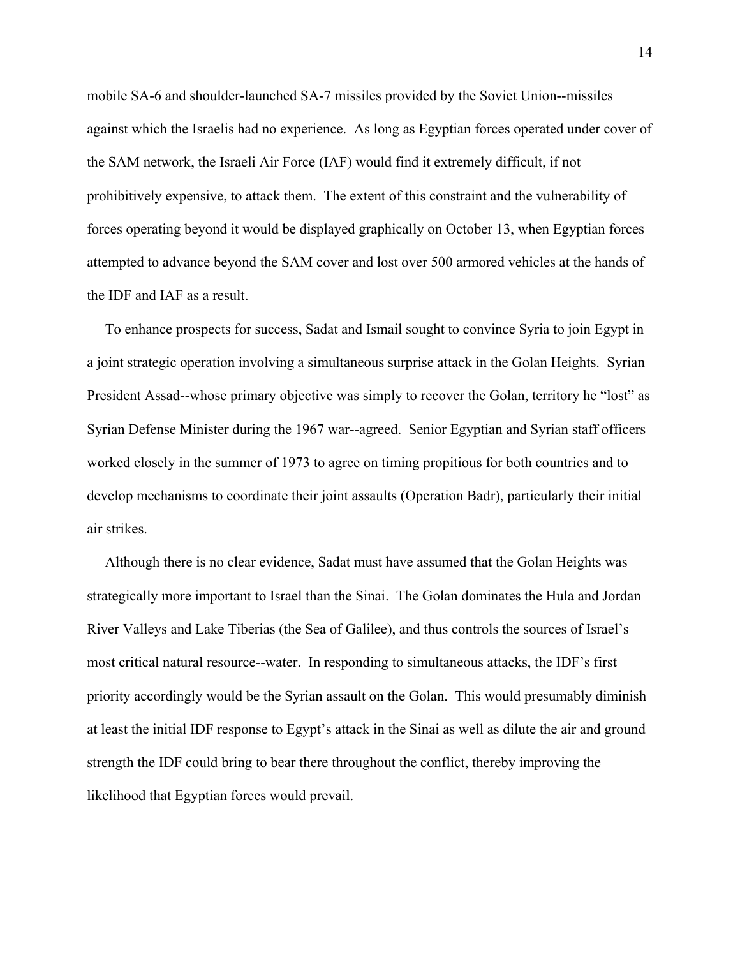mobile SA-6 and shoulder-launched SA-7 missiles provided by the Soviet Union--missiles against which the Israelis had no experience. As long as Egyptian forces operated under cover of the SAM network, the Israeli Air Force (IAF) would find it extremely difficult, if not prohibitively expensive, to attack them. The extent of this constraint and the vulnerability of forces operating beyond it would be displayed graphically on October 13, when Egyptian forces attempted to advance beyond the SAM cover and lost over 500 armored vehicles at the hands of the IDF and IAF as a result.

 To enhance prospects for success, Sadat and Ismail sought to convince Syria to join Egypt in a joint strategic operation involving a simultaneous surprise attack in the Golan Heights. Syrian President Assad--whose primary objective was simply to recover the Golan, territory he "lost" as Syrian Defense Minister during the 1967 war--agreed. Senior Egyptian and Syrian staff officers worked closely in the summer of 1973 to agree on timing propitious for both countries and to develop mechanisms to coordinate their joint assaults (Operation Badr), particularly their initial air strikes.

 Although there is no clear evidence, Sadat must have assumed that the Golan Heights was strategically more important to Israel than the Sinai. The Golan dominates the Hula and Jordan River Valleys and Lake Tiberias (the Sea of Galilee), and thus controls the sources of Israel's most critical natural resource--water. In responding to simultaneous attacks, the IDF's first priority accordingly would be the Syrian assault on the Golan. This would presumably diminish at least the initial IDF response to Egypt's attack in the Sinai as well as dilute the air and ground strength the IDF could bring to bear there throughout the conflict, thereby improving the likelihood that Egyptian forces would prevail.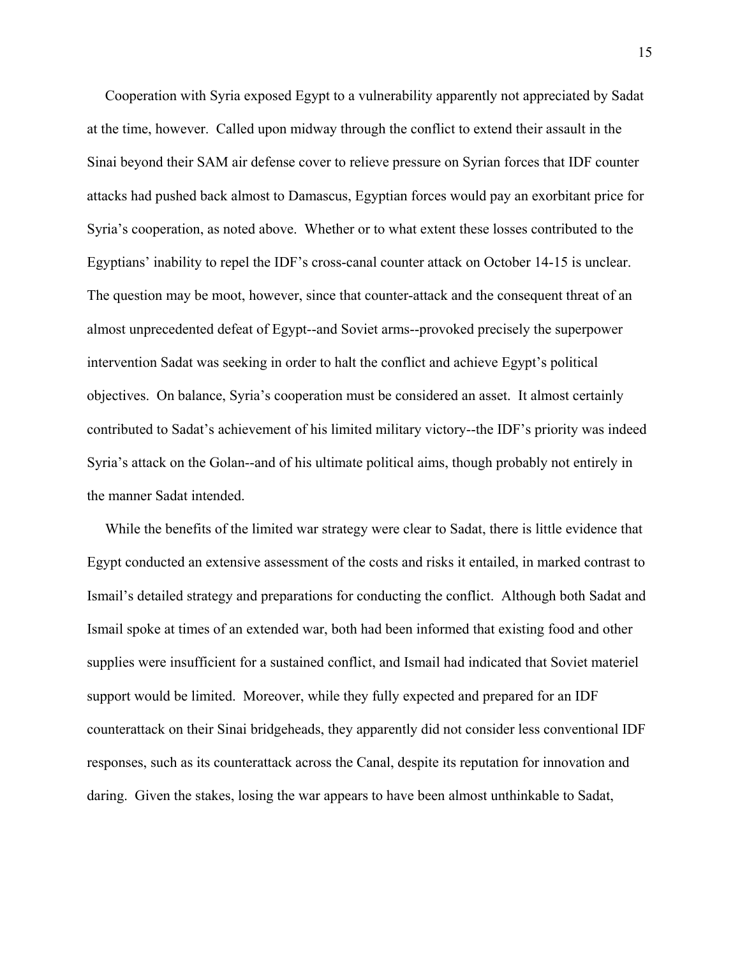Cooperation with Syria exposed Egypt to a vulnerability apparently not appreciated by Sadat at the time, however. Called upon midway through the conflict to extend their assault in the Sinai beyond their SAM air defense cover to relieve pressure on Syrian forces that IDF counter attacks had pushed back almost to Damascus, Egyptian forces would pay an exorbitant price for Syria's cooperation, as noted above. Whether or to what extent these losses contributed to the Egyptians' inability to repel the IDF's cross-canal counter attack on October 14-15 is unclear. The question may be moot, however, since that counter-attack and the consequent threat of an almost unprecedented defeat of Egypt--and Soviet arms--provoked precisely the superpower intervention Sadat was seeking in order to halt the conflict and achieve Egypt's political objectives. On balance, Syria's cooperation must be considered an asset. It almost certainly contributed to Sadat's achievement of his limited military victory--the IDF's priority was indeed Syria's attack on the Golan--and of his ultimate political aims, though probably not entirely in the manner Sadat intended.

 While the benefits of the limited war strategy were clear to Sadat, there is little evidence that Egypt conducted an extensive assessment of the costs and risks it entailed, in marked contrast to Ismail's detailed strategy and preparations for conducting the conflict. Although both Sadat and Ismail spoke at times of an extended war, both had been informed that existing food and other supplies were insufficient for a sustained conflict, and Ismail had indicated that Soviet materiel support would be limited. Moreover, while they fully expected and prepared for an IDF counterattack on their Sinai bridgeheads, they apparently did not consider less conventional IDF responses, such as its counterattack across the Canal, despite its reputation for innovation and daring. Given the stakes, losing the war appears to have been almost unthinkable to Sadat,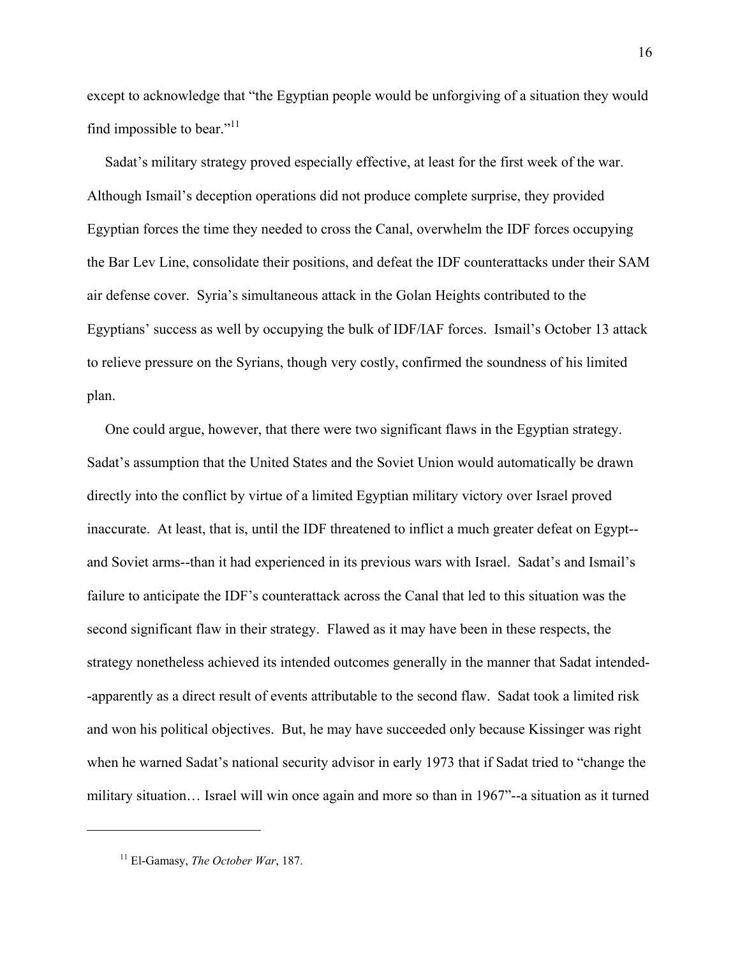except to acknowledge that "the Egyptian people would be unforgiving of a situation they would find impossible to bear." $11$ 

 Sadat's military strategy proved especially effective, at least for the first week of the war. Although Ismail's deception operations did not produce complete surprise, they provided Egyptian forces the time they needed to cross the Canal, overwhelm the IDF forces occupying the Bar Lev Line, consolidate their positions, and defeat the IDF counterattacks under their SAM air defense cover. Syria's simultaneous attack in the Golan Heights contributed to the Egyptians' success as well by occupying the bulk of IDF/IAF forces. Ismail's October 13 attack to relieve pressure on the Syrians, though very costly, confirmed the soundness of his limited plan.

 One could argue, however, that there were two significant flaws in the Egyptian strategy. Sadat's assumption that the United States and the Soviet Union would automatically be drawn directly into the conflict by virtue of a limited Egyptian military victory over Israel proved inaccurate. At least, that is, until the IDF threatened to inflict a much greater defeat on Egypt- and Soviet arms--than it had experienced in its previous wars with Israel. Sadat's and Ismail's failure to anticipate the IDF's counterattack across the Canal that led to this situation was the second significant flaw in their strategy. Flawed as it may have been in these respects, the strategy nonetheless achieved its intended outcomes generally in the manner that Sadat intended- -apparently as a direct result of events attributable to the second flaw. Sadat took a limited risk and won his political objectives. But, he may have succeeded only because Kissinger was right when he warned Sadat's national security advisor in early 1973 that if Sadat tried to "change the military situation… Israel will win once again and more so than in 1967"--a situation as it turned

<span id="page-17-0"></span><sup>11</sup> El-Gamasy, *The October War*, 187.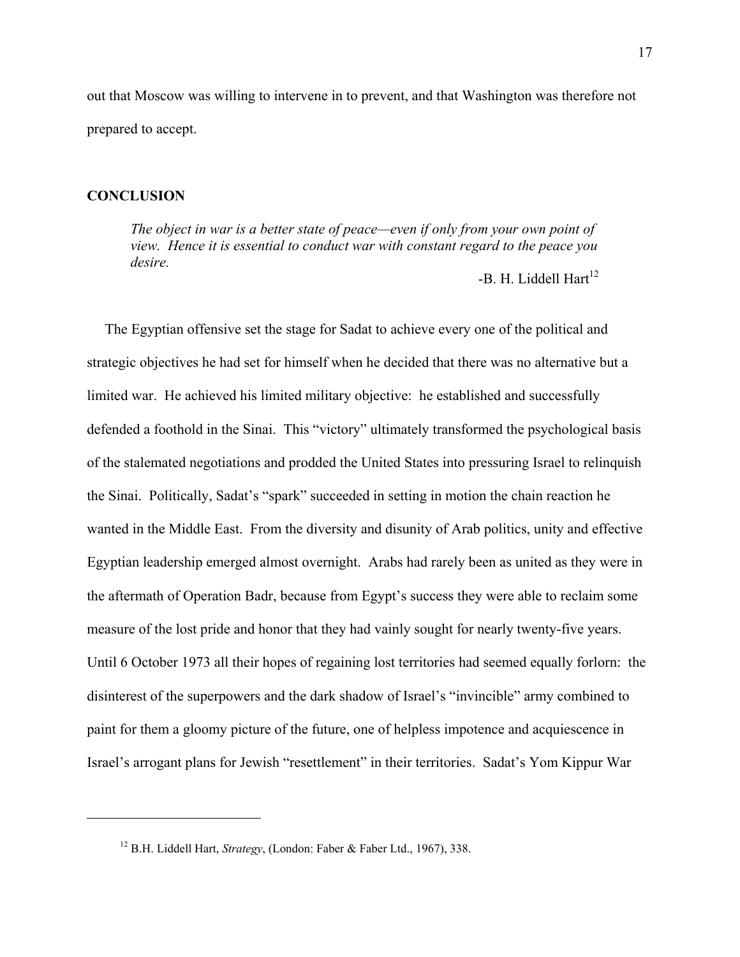out that Moscow was willing to intervene in to prevent, and that Washington was therefore not prepared to accept.

### **CONCLUSION**

1

*The object in war is a better state of peace—even if only from your own point of view. Hence it is essential to conduct war with constant regard to the peace you desire.* 

-B. H. Liddell Hart<sup>[12](#page-18-0)</sup>

 The Egyptian offensive set the stage for Sadat to achieve every one of the political and strategic objectives he had set for himself when he decided that there was no alternative but a limited war. He achieved his limited military objective: he established and successfully defended a foothold in the Sinai. This "victory" ultimately transformed the psychological basis of the stalemated negotiations and prodded the United States into pressuring Israel to relinquish the Sinai. Politically, Sadat's "spark" succeeded in setting in motion the chain reaction he wanted in the Middle East. From the diversity and disunity of Arab politics, unity and effective Egyptian leadership emerged almost overnight. Arabs had rarely been as united as they were in the aftermath of Operation Badr, because from Egypt's success they were able to reclaim some measure of the lost pride and honor that they had vainly sought for nearly twenty-five years. Until 6 October 1973 all their hopes of regaining lost territories had seemed equally forlorn: the disinterest of the superpowers and the dark shadow of Israel's "invincible" army combined to paint for them a gloomy picture of the future, one of helpless impotence and acquiescence in Israel's arrogant plans for Jewish "resettlement" in their territories. Sadat's Yom Kippur War

<span id="page-18-0"></span><sup>12</sup> B.H. Liddell Hart, *Strategy*, (London: Faber & Faber Ltd., 1967), 338.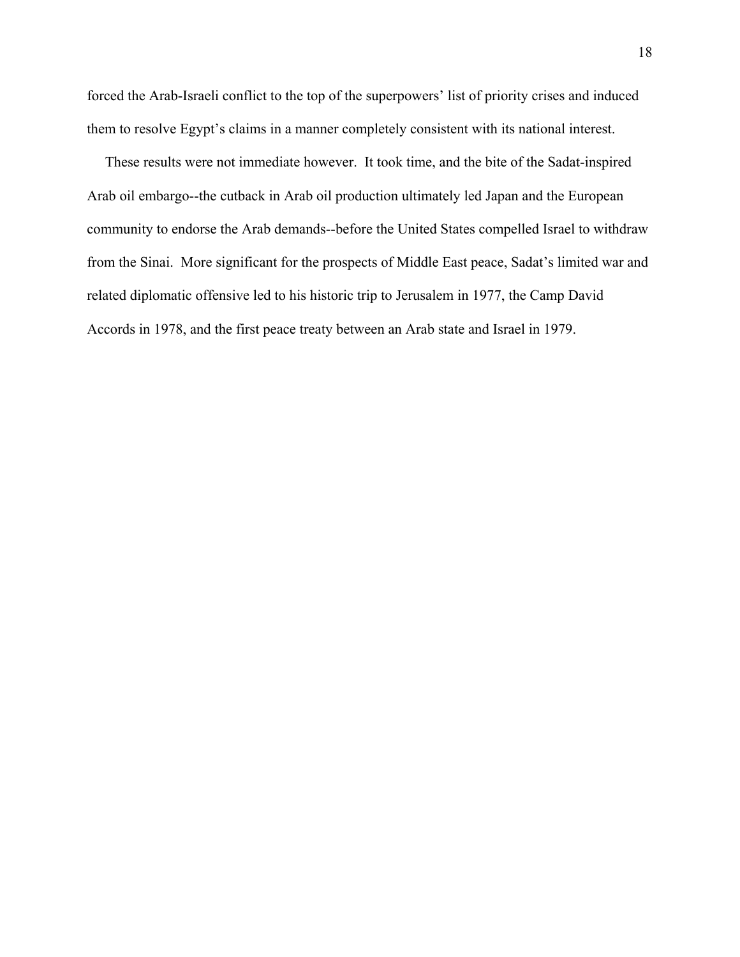forced the Arab-Israeli conflict to the top of the superpowers' list of priority crises and induced them to resolve Egypt's claims in a manner completely consistent with its national interest.

 These results were not immediate however. It took time, and the bite of the Sadat-inspired Arab oil embargo--the cutback in Arab oil production ultimately led Japan and the European community to endorse the Arab demands--before the United States compelled Israel to withdraw from the Sinai. More significant for the prospects of Middle East peace, Sadat's limited war and related diplomatic offensive led to his historic trip to Jerusalem in 1977, the Camp David Accords in 1978, and the first peace treaty between an Arab state and Israel in 1979.